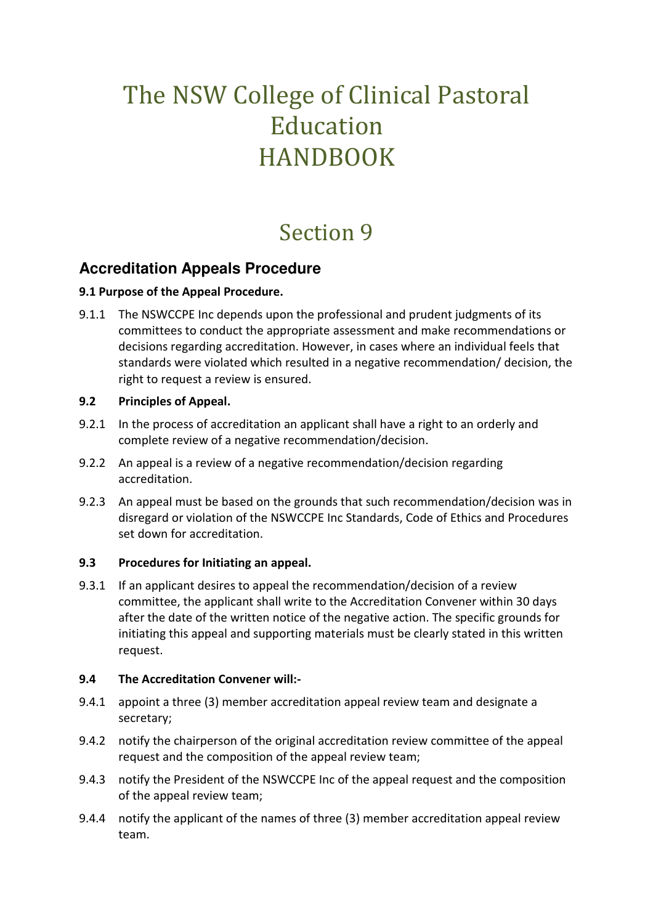# The NSW College of Clinical Pastoral Education HANDBOOK

## Section 9

## **Accreditation Appeals Procedure**

#### **9.1 Purpose of the Appeal Procedure.**

9.1.1 The NSWCCPE Inc depends upon the professional and prudent judgments of its committees to conduct the appropriate assessment and make recommendations or decisions regarding accreditation. However, in cases where an individual feels that standards were violated which resulted in a negative recommendation/ decision, the right to request a review is ensured.

#### **9.2 Principles of Appeal.**

- 9.2.1 In the process of accreditation an applicant shall have a right to an orderly and complete review of a negative recommendation/decision.
- 9.2.2 An appeal is a review of a negative recommendation/decision regarding accreditation.
- 9.2.3 An appeal must be based on the grounds that such recommendation/decision was in disregard or violation of the NSWCCPE Inc Standards, Code of Ethics and Procedures set down for accreditation.

#### **9.3 Procedures for Initiating an appeal.**

9.3.1 If an applicant desires to appeal the recommendation/decision of a review committee, the applicant shall write to the Accreditation Convener within 30 days after the date of the written notice of the negative action. The specific grounds for initiating this appeal and supporting materials must be clearly stated in this written request.

#### **9.4 The Accreditation Convener will:-**

- 9.4.1 appoint a three (3) member accreditation appeal review team and designate a secretary;
- 9.4.2 notify the chairperson of the original accreditation review committee of the appeal request and the composition of the appeal review team;
- 9.4.3 notify the President of the NSWCCPE Inc of the appeal request and the composition of the appeal review team;
- 9.4.4 notify the applicant of the names of three (3) member accreditation appeal review team.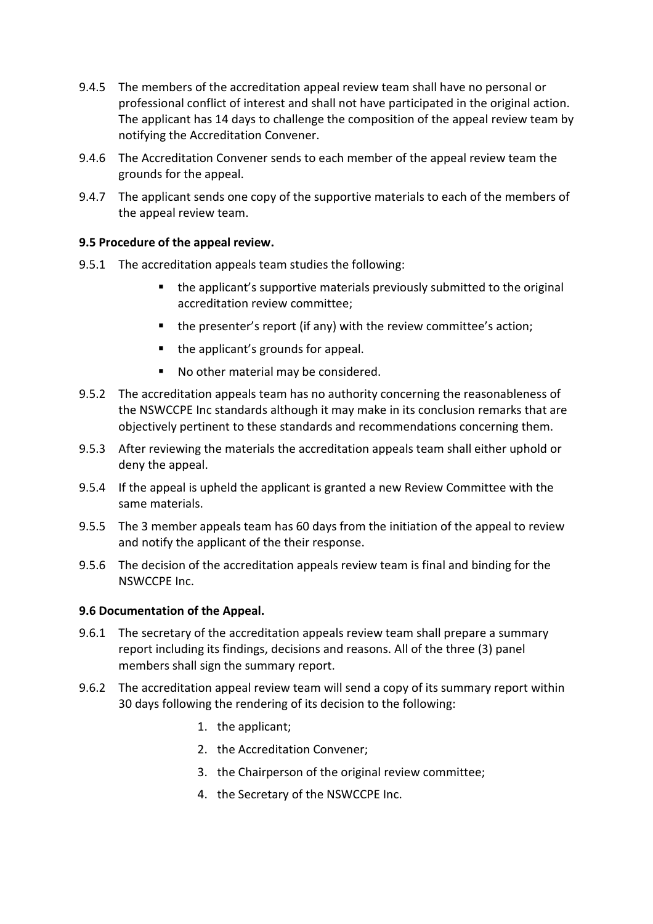- 9.4.5 The members of the accreditation appeal review team shall have no personal or professional conflict of interest and shall not have participated in the original action. The applicant has 14 days to challenge the composition of the appeal review team by notifying the Accreditation Convener.
- 9.4.6 The Accreditation Convener sends to each member of the appeal review team the grounds for the appeal.
- 9.4.7 The applicant sends one copy of the supportive materials to each of the members of the appeal review team.

#### **9.5 Procedure of the appeal review.**

- 9.5.1 The accreditation appeals team studies the following:
	- the applicant's supportive materials previously submitted to the original accreditation review committee;
	- $\blacksquare$  the presenter's report (if any) with the review committee's action;
	- the applicant's grounds for appeal.
	- No other material may be considered.
- 9.5.2 The accreditation appeals team has no authority concerning the reasonableness of the NSWCCPE Inc standards although it may make in its conclusion remarks that are objectively pertinent to these standards and recommendations concerning them.
- 9.5.3 After reviewing the materials the accreditation appeals team shall either uphold or deny the appeal.
- 9.5.4 If the appeal is upheld the applicant is granted a new Review Committee with the same materials.
- 9.5.5 The 3 member appeals team has 60 days from the initiation of the appeal to review and notify the applicant of the their response.
- 9.5.6 The decision of the accreditation appeals review team is final and binding for the NSWCCPE Inc.

#### **9.6 Documentation of the Appeal.**

- 9.6.1 The secretary of the accreditation appeals review team shall prepare a summary report including its findings, decisions and reasons. All of the three (3) panel members shall sign the summary report.
- 9.6.2 The accreditation appeal review team will send a copy of its summary report within 30 days following the rendering of its decision to the following:
	- 1. the applicant;
	- 2. the Accreditation Convener;
	- 3. the Chairperson of the original review committee;
	- 4. the Secretary of the NSWCCPE Inc.